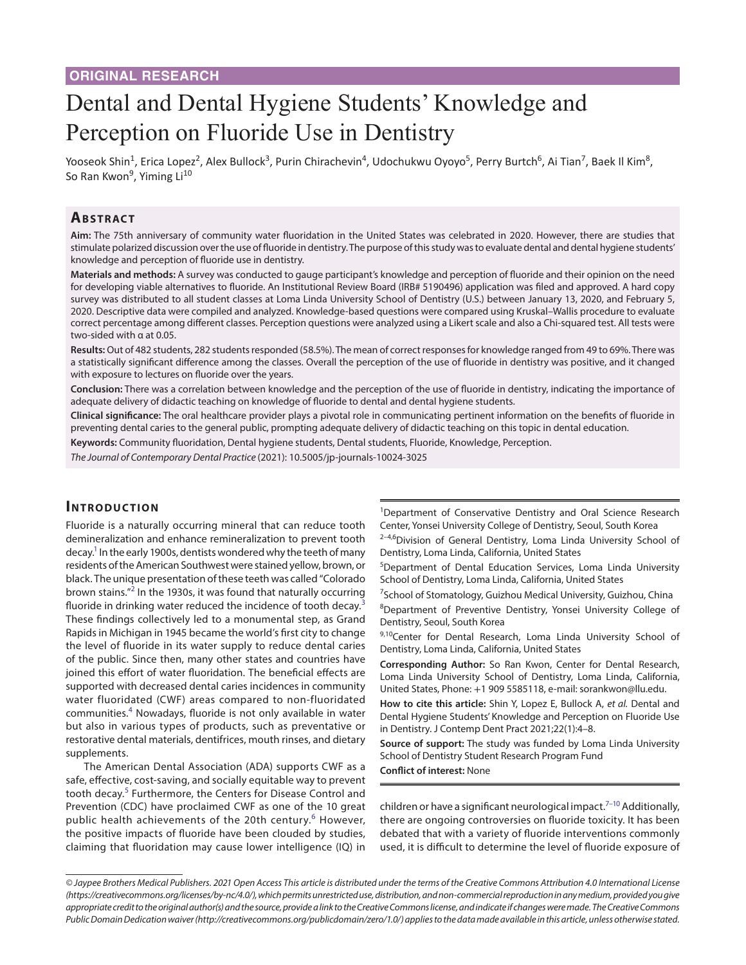# Dental and Dental Hygiene Students' Knowledge and Perception on Fluoride Use in Dentistry

Yooseok Shin<sup>1</sup>, Erica Lopez<sup>2</sup>, Alex Bullock<sup>3</sup>, Purin Chirachevin<sup>4</sup>, Udochukwu Oyoyo<sup>5</sup>, Perry Burtch<sup>6</sup>, Ai Tian<sup>7</sup>, Baek Il Kim<sup>8</sup>, So Ran Kwon<sup>9</sup>, Yiming Li<sup>10</sup>

# **ABSTRACT**

**Aim:** The 75th anniversary of community water fluoridation in the United States was celebrated in 2020. However, there are studies that stimulate polarized discussion over the use of fluoride in dentistry. The purpose of this study was to evaluate dental and dental hygiene students' knowledge and perception of fluoride use in dentistry.

**Materials and methods:** A survey was conducted to gauge participant's knowledge and perception of fluoride and their opinion on the need for developing viable alternatives to fluoride. An Institutional Review Board (IRB# 5190496) application was filed and approved. A hard copy survey was distributed to all student classes at Loma Linda University School of Dentistry (U.S.) between January 13, 2020, and February 5, 2020. Descriptive data were compiled and analyzed. Knowledge-based questions were compared using Kruskal–Wallis procedure to evaluate correct percentage among different classes. Perception questions were analyzed using a Likert scale and also a Chi-squared test. All tests were two-sided with α at 0.05.

**Results:** Out of 482 students, 282 students responded (58.5%). The mean of correct responses for knowledge ranged from 49 to 69%. There was a statistically significant difference among the classes. Overall the perception of the use of fluoride in dentistry was positive, and it changed with exposure to lectures on fluoride over the years.

**Conclusion:** There was a correlation between knowledge and the perception of the use of fluoride in dentistry, indicating the importance of adequate delivery of didactic teaching on knowledge of fluoride to dental and dental hygiene students.

**Clinical significance:** The oral healthcare provider plays a pivotal role in communicating pertinent information on the benefits of fluoride in preventing dental caries to the general public, prompting adequate delivery of didactic teaching on this topic in dental education.

**Keywords:** Community fluoridation, Dental hygiene students, Dental students, Fluoride, Knowledge, Perception.

*The Journal of Contemporary Dental Practice* (2021): 10.5005/jp-journals-10024-3025

#### **INTRODUCTION**

Fluoride is a naturally occurring mineral that can reduce tooth demineralization and enhance remineralization to prevent tooth decay.<sup>1</sup> In the early 1900s, dentists wondered why the teeth of many residents of the American Southwest were stained yellow, brown, or black. The unique presentation of these teeth was called "Colorado brown stains."<sup>[2](#page-3-1)</sup> In the 1930s, it was found that naturally occurring fluoride in drinking water reduced the incidence of tooth decay.<sup>[3](#page-3-2)</sup> These findings collectively led to a monumental step, as Grand Rapids in Michigan in 1945 became the world's first city to change the level of fluoride in its water supply to reduce dental caries of the public. Since then, many other states and countries have joined this effort of water fluoridation. The beneficial effects are supported with decreased dental caries incidences in community water fluoridated (CWF) areas compared to non-fluoridated communities.<sup>[4](#page-3-3)</sup> Nowadays, fluoride is not only available in water but also in various types of products, such as preventative or restorative dental materials, dentifrices, mouth rinses, and dietary supplements.

The American Dental Association (ADA) supports CWF as a safe, effective, cost-saving, and socially equitable way to prevent tooth decay.<sup>[5](#page-3-4)</sup> Furthermore, the Centers for Disease Control and Prevention (CDC) have proclaimed CWF as one of the 10 great public health achievements of the 20th century.<sup>[6](#page-3-5)</sup> However, the positive impacts of fluoride have been clouded by studies, claiming that fluoridation may cause lower intelligence (IQ) in

<sup>1</sup>Department of Conservative Dentistry and Oral Science Research Center, Yonsei University College of Dentistry, Seoul, South Korea

<sup>2-4,6</sup>Division of General Dentistry, Loma Linda University School of Dentistry, Loma Linda, California, United States

5 Department of Dental Education Services, Loma Linda University School of Dentistry, Loma Linda, California, United States

<sup>7</sup>School of Stomatology, Guizhou Medical University, Guizhou, China

<sup>8</sup>Department of Preventive Dentistry, Yonsei University College of Dentistry, Seoul, South Korea

9,10Center for Dental Research, Loma Linda University School of Dentistry, Loma Linda, California, United States

**Corresponding Author:** So Ran Kwon, Center for Dental Research, Loma Linda University School of Dentistry, Loma Linda, California, United States, Phone: +1 909 5585118, e-mail: sorankwon@llu.edu.

**How to cite this article:** Shin Y, Lopez E, Bullock A, *et al.* Dental and Dental Hygiene Students' Knowledge and Perception on Fluoride Use in Dentistry. J Contemp Dent Pract 2021;22(1):4–8.

**Source of support:** The study was funded by Loma Linda University School of Dentistry Student Research Program Fund

**Conflict of interest:** None

children or have a significant neurological impact.<sup> $7-10$  $7-10$ </sup> Additionally, there are ongoing controversies on fluoride toxicity. It has been debated that with a variety of fluoride interventions commonly used, it is difficult to determine the level of fluoride exposure of

*<sup>©</sup> Jaypee Brothers Medical Publishers. 2021 Open Access This article is distributed under the terms of the Creative Commons Attribution 4.0 International License (https://creativecommons.org/licenses/by-nc/4.0/), which permits unrestricted use, distribution, and non-commercial reproduction in any medium, provided you give appropriate credit to the original author(s) and the source, provide a link to the Creative Commons license, and indicate if changes were made. The Creative Commons Public Domain Dedication waiver (http://creativecommons.org/publicdomain/zero/1.0/) applies to the data made available in this article, unless otherwise stated.*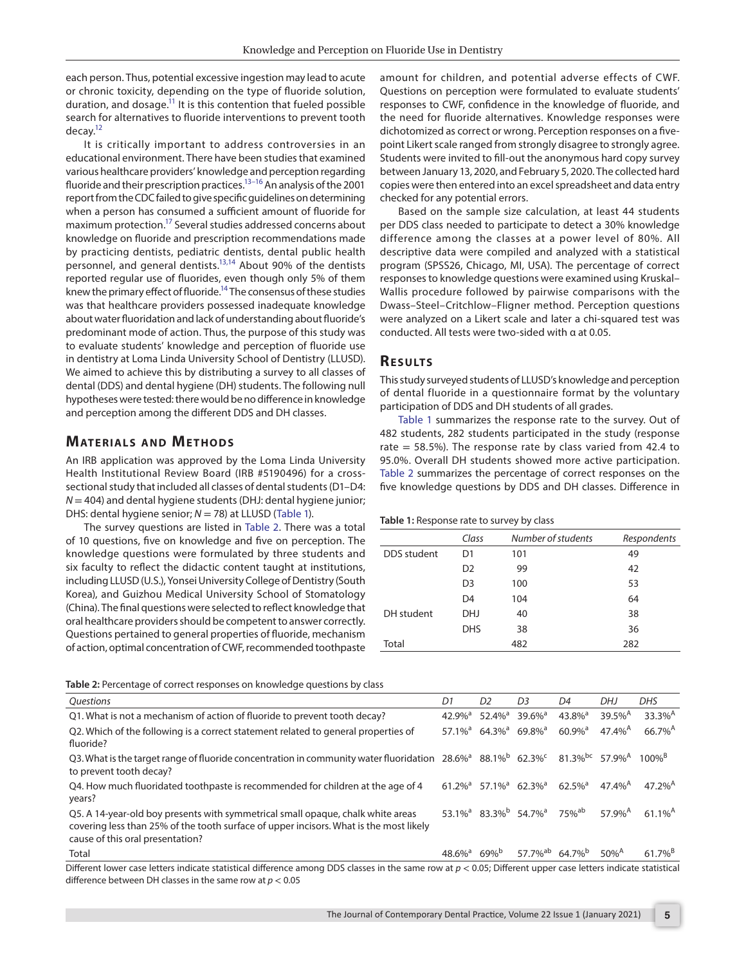each person. Thus, potential excessive ingestion may lead to acute or chronic toxicity, depending on the type of fluoride solution, duration, and dosage.<sup>11</sup> It is this contention that fueled possible search for alternatives to fluoride interventions to prevent tooth decay[.12](#page-3-9)

It is critically important to address controversies in an educational environment. There have been studies that examined various healthcare providers' knowledge and perception regarding fluoride and their prescription practices.<sup>13-16</sup> An analysis of the 2001 report from the CDC failed to give specific guidelines on determining when a person has consumed a sufficient amount of fluoride for maximum protection[.17](#page-4-1) Several studies addressed concerns about knowledge on fluoride and prescription recommendations made by practicing dentists, pediatric dentists, dental public health personnel, and general dentists.<sup>13[,14](#page-4-2)</sup> About 90% of the dentists reported regular use of fluorides, even though only 5% of them knew the primary effect of fluoride.<sup>14</sup> The consensus of these studies was that healthcare providers possessed inadequate knowledge about water fluoridation and lack of understanding about fluoride's predominant mode of action. Thus, the purpose of this study was to evaluate students' knowledge and perception of fluoride use in dentistry at Loma Linda University School of Dentistry (LLUSD). We aimed to achieve this by distributing a survey to all classes of dental (DDS) and dental hygiene (DH) students. The following null hypotheses were tested: there would be no difference in knowledge and perception among the different DDS and DH classes.

## **MATERIALS AND METHODS**

An IRB application was approved by the Loma Linda University Health Institutional Review Board (IRB #5190496) for a crosssectional study that included all classes of dental students (D1–D4: *N* = 404) and dental hygiene students (DHJ: dental hygiene junior; DHS: dental hygiene senior; *N* = 78) at LLUSD ([Table 1](#page-1-0)).

The survey questions are listed in [Table 2.](#page-1-1) There was a total of 10 questions, five on knowledge and five on perception. The knowledge questions were formulated by three students and six faculty to reflect the didactic content taught at institutions, including LLUSD (U.S.), Yonsei University College of Dentistry (South Korea), and Guizhou Medical University School of Stomatology (China). The final questions were selected to reflect knowledge that oral healthcare providers should be competent to answer correctly. Questions pertained to general properties of fluoride, mechanism of action, optimal concentration of CWF, recommended toothpaste

amount for children, and potential adverse effects of CWF. Questions on perception were formulated to evaluate students' responses to CWF, confidence in the knowledge of fluoride, and the need for fluoride alternatives. Knowledge responses were dichotomized as correct or wrong. Perception responses on a fivepoint Likert scale ranged from strongly disagree to strongly agree. Students were invited to fill-out the anonymous hard copy survey between January 13, 2020, and February 5, 2020. The collected hard copies were then entered into an excel spreadsheet and data entry checked for any potential errors.

Based on the sample size calculation, at least 44 students per DDS class needed to participate to detect a 30% knowledge difference among the classes at a power level of 80%. All descriptive data were compiled and analyzed with a statistical program (SPSS26, Chicago, MI, USA). The percentage of correct responses to knowledge questions were examined using Kruskal– Wallis procedure followed by pairwise comparisons with the Dwass–Steel–Critchlow–Fligner method. Perception questions were analyzed on a Likert scale and later a chi-squared test was conducted. All tests were two-sided with α at 0.05.

#### **RESULTS**

This study surveyed students of LLUSD's knowledge and perception of dental fluoride in a questionnaire format by the voluntary participation of DDS and DH students of all grades.

[Table 1](#page-1-0) summarizes the response rate to the survey. Out of 482 students, 282 students participated in the study (response rate  $= 58.5\%$ ). The response rate by class varied from 42.4 to 95.0%. Overall DH students showed more active participation. [Table 2](#page-1-1) summarizes the percentage of correct responses on the five knowledge questions by DDS and DH classes. Difference in

#### <span id="page-1-0"></span>**Table 1:** Response rate to survey by class

|             | Class          | Number of students | Respondents |
|-------------|----------------|--------------------|-------------|
| DDS student | D1             | 101                | 49          |
|             | D <sub>2</sub> | 99                 | 42          |
|             | D <sub>3</sub> | 100                | 53          |
|             | D4             | 104                | 64          |
| DH student  | DHJ            | 40                 | 38          |
|             | <b>DHS</b>     | 38                 | 36          |
| Total       |                | 482                | 282         |

<span id="page-1-1"></span>**Table 2:** Percentage of correct responses on knowledge questions by class

| <b>Ouestions</b>                                                                                                                                                                                                                    | D1                    | D <sub>2</sub>                           | D <sub>3</sub>                                                                   | D4                    | DHJ                   | <b>DHS</b>            |
|-------------------------------------------------------------------------------------------------------------------------------------------------------------------------------------------------------------------------------------|-----------------------|------------------------------------------|----------------------------------------------------------------------------------|-----------------------|-----------------------|-----------------------|
| Q1. What is not a mechanism of action of fluoride to prevent tooth decay?                                                                                                                                                           |                       | $52.4\%$ <sup>a</sup>                    | $39.6\%$ <sup>a</sup>                                                            | $43.8\%$ <sup>a</sup> | $39.5\%$ <sup>A</sup> | $33.3\%$ <sup>A</sup> |
| Q2. Which of the following is a correct statement related to general properties of<br>fluoride?                                                                                                                                     | $57.1\%$ <sup>a</sup> | $64.3\%$ <sup>a</sup> 69.8% <sup>a</sup> |                                                                                  | $60.9\%$ <sup>a</sup> | $47.4\%$ <sup>A</sup> | $66.7\%$ <sup>A</sup> |
| Q3. What is the target range of fluoride concentration in community water fluoridation 28.6% <sup>a</sup> 88.1% <sup>b</sup> 62.3% <sup>c</sup> 81.3% <sup>bc</sup> 57.9% <sup>A</sup> 100% <sup>B</sup><br>to prevent tooth decay? |                       |                                          |                                                                                  |                       |                       |                       |
| Q4. How much fluoridated toothpaste is recommended for children at the age of 4<br>years?                                                                                                                                           |                       |                                          | $61.2\%$ <sup>a</sup> 57.1% <sup>a</sup> 62.3% <sup>a</sup> 62.5% <sup>a</sup>   |                       | 47.4% <sup>A</sup>    | 47.2% <sup>A</sup>    |
| Q5. A 14-year-old boy presents with symmetrical small opaque, chalk white areas<br>covering less than 25% of the tooth surface of upper incisors. What is the most likely<br>cause of this oral presentation?                       |                       |                                          | $53.1\%$ <sup>a</sup> 83.3% <sup>b</sup> 54.7% <sup>a</sup> 75% <sup>ab</sup>    |                       | 57.9% <sup>A</sup>    | $61.1\%$ <sup>A</sup> |
| Total                                                                                                                                                                                                                               |                       |                                          | $48.6\%$ <sup>a</sup> $69\%$ <sup>b</sup> 57.7% <sup>ab</sup> 64.7% <sup>b</sup> |                       | 50% <sup>A</sup>      | $61.7\%$ <sup>B</sup> |

Different lower case letters indicate statistical difference among DDS classes in the same row at *p* < 0.05; Different upper case letters indicate statistical difference between DH classes in the same row at *p* < 0.05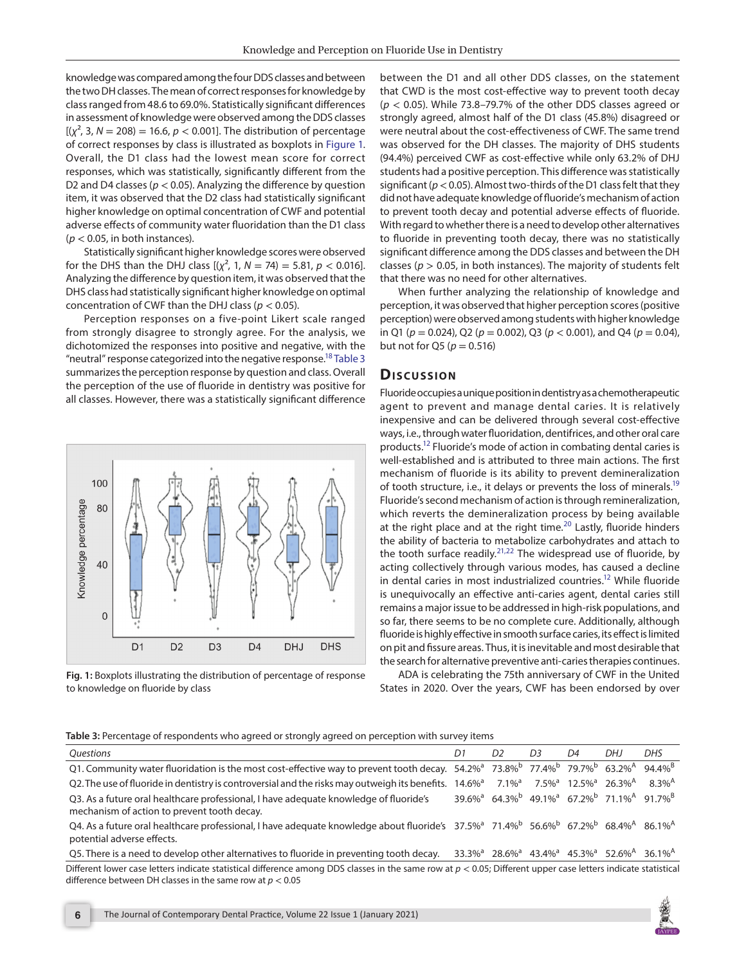knowledge was compared among the four DDS classes and between the two DH classes. The mean of correct responses for knowledge by class ranged from 48.6 to 69.0%. Statistically significant differences in assessment of knowledge were observed among the DDS classes  $[(x^2, 3, N = 208) = 16.6, p < 0.001]$ . The distribution of percentage of correct responses by class is illustrated as boxplots in Figure 1. Overall, the D1 class had the lowest mean score for correct responses, which was statistically, significantly different from the D2 and D4 classes (*p* < 0.05). Analyzing the difference by question item, it was observed that the D2 class had statistically significant higher knowledge on optimal concentration of CWF and potential adverse effects of community water fluoridation than the D1 class  $(p < 0.05$ , in both instances).

Statistically significant higher knowledge scores were observed for the DHS than the DHJ class  $[(\chi^2, 1, N = 74) = 5.81, p < 0.016]$ . Analyzing the difference by question item, it was observed that the DHS class had statistically significant higher knowledge on optimal concentration of CWF than the DHJ class (*p* < 0.05).

Perception responses on a five-point Likert scale ranged from strongly disagree to strongly agree. For the analysis, we dichotomized the responses into positive and negative, with the "neutral" response categorized into the negative response.<sup>18</sup> [Table 3](#page-2-0) summarizes the perception response by question and class. Overall the perception of the use of fluoride in dentistry was positive for all classes. However, there was a statistically significant difference



**Fig. 1:** Boxplots illustrating the distribution of percentage of response to knowledge on fluoride by class

between the D1 and all other DDS classes, on the statement that CWD is the most cost-effective way to prevent tooth decay (*p* < 0.05). While 73.8–79.7% of the other DDS classes agreed or strongly agreed, almost half of the D1 class (45.8%) disagreed or were neutral about the cost-effectiveness of CWF. The same trend was observed for the DH classes. The majority of DHS students (94.4%) perceived CWF as cost-effective while only 63.2% of DHJ students had a positive perception. This difference was statistically significant (*p*< 0.05). Almost two-thirds of the D1 class felt that they did not have adequate knowledge of fluoride's mechanism of action to prevent tooth decay and potential adverse effects of fluoride. With regard to whether there is a need to develop other alternatives to fluoride in preventing tooth decay, there was no statistically significant difference among the DDS classes and between the DH classes ( $p > 0.05$ , in both instances). The majority of students felt that there was no need for other alternatives.

When further analyzing the relationship of knowledge and perception, it was observed that higher perception scores (positive perception) were observed among students with higher knowledge in Q1 (*p* = 0.024), Q2 (*p* = 0.002), Q3 (*p* < 0.001), and Q4 (*p* = 0.04), but not for Q5 ( $p = 0.516$ )

### **Dis c u s sio n**

Fluoride occupies a unique position in dentistry as a chemotherapeutic agent to prevent and manage dental caries. It is relatively inexpensive and can be delivered through several cost-effective ways, i.e., through water fluoridation, dentifrices, and other oral care products[.12](#page-3-9) Fluoride's mode of action in combating dental caries is well-established and is attributed to three main actions. The first mechanism of fluoride is its ability to prevent demineralization of tooth structure, i.e., it delays or prevents the loss of minerals.<sup>19</sup> Fluoride's second mechanism of action is through remineralization, which reverts the demineralization process by being available at the right place and at the right time. $^{20}$  $^{20}$  $^{20}$  Lastly, fluoride hinders the ability of bacteria to metabolize carbohydrates and attach to the tooth surface readily. $21,22$  $21,22$  The widespread use of fluoride, by acting collectively through various modes, has caused a decline in dental caries in most industrialized countries.<sup>12</sup> While fluoride is unequivocally an effective anti-caries agent, dental caries still remains a major issue to be addressed in high-risk populations, and so far, there seems to be no complete cure. Additionally, although fluoride is highly effective in smooth surface caries, its effect is limited on pit and fissure areas. Thus, it is inevitable and most desirable that the search for alternative preventive anti-caries therapies continues.

ADA is celebrating the 75th anniversary of CWF in the United States in 2020. Over the years, CWF has been endorsed by over

<span id="page-2-0"></span>**Table 3:** Percentage of respondents who agreed or strongly agreed on perception with survey items

| <b>Ouestions</b>                                                                                                                                                                                                                         | D1 | D2 | D3 | D4 | DHJ                                                                                                                  | <b>DHS</b>           |
|------------------------------------------------------------------------------------------------------------------------------------------------------------------------------------------------------------------------------------------|----|----|----|----|----------------------------------------------------------------------------------------------------------------------|----------------------|
| Q1. Community water fluoridation is the most cost-effective way to prevent tooth decay. 54.2% <sup>a</sup> 73.8% <sup>b</sup> 77.4% <sup>b</sup> 79.7% <sup>b</sup> 63.2% <sup>4</sup> 94.4% <sup>B</sup>                                |    |    |    |    |                                                                                                                      |                      |
| Q2. The use of fluoride in dentistry is controversial and the risks may outweigh its benefits. $14.6\%^a$ 7.1% <sup>a</sup>                                                                                                              |    |    |    |    | 7.5% <sup>a</sup> 12.5% <sup>a</sup> 26.3% <sup>A</sup>                                                              | $8.3\%$ <sup>A</sup> |
| Q3. As a future oral healthcare professional, I have adequate knowledge of fluoride's<br>mechanism of action to prevent tooth decay.                                                                                                     |    |    |    |    | 39.6% <sup>a</sup> 64.3% <sup>b</sup> 49.1% <sup>a</sup> 67.2% <sup>b</sup> 71.1% <sup>A</sup> 91.7% <sup>B</sup>    |                      |
| Q4. As a future oral healthcare professional, I have adequate knowledge about fluoride's 37.5% <sup>a</sup> 71.4% <sup>b</sup> 56.6% <sup>b</sup> 67.2% <sup>b</sup> 68.4% <sup>A</sup> 86.1% <sup>A</sup><br>potential adverse effects. |    |    |    |    |                                                                                                                      |                      |
| Q5. There is a need to develop other alternatives to fluoride in preventing tooth decay.                                                                                                                                                 |    |    |    |    | $33.3\%$ <sup>a</sup> 28.6% <sup>a</sup> 43.4% <sup>a</sup> 45.3% <sup>a</sup> 52.6% <sup>A</sup> 36.1% <sup>A</sup> |                      |
| Different lower case letters indicate statistical difference among DDS classes in the same row at $n < 0.05$ : Different upper case letters indicate statistical                                                                         |    |    |    |    |                                                                                                                      |                      |

Different lower case letters indicate statistical difference among DDS classes in the same row at *p* < 0.05; Different upper case letters indicate statistical difference between DH classes in the same row at *p* < 0.05

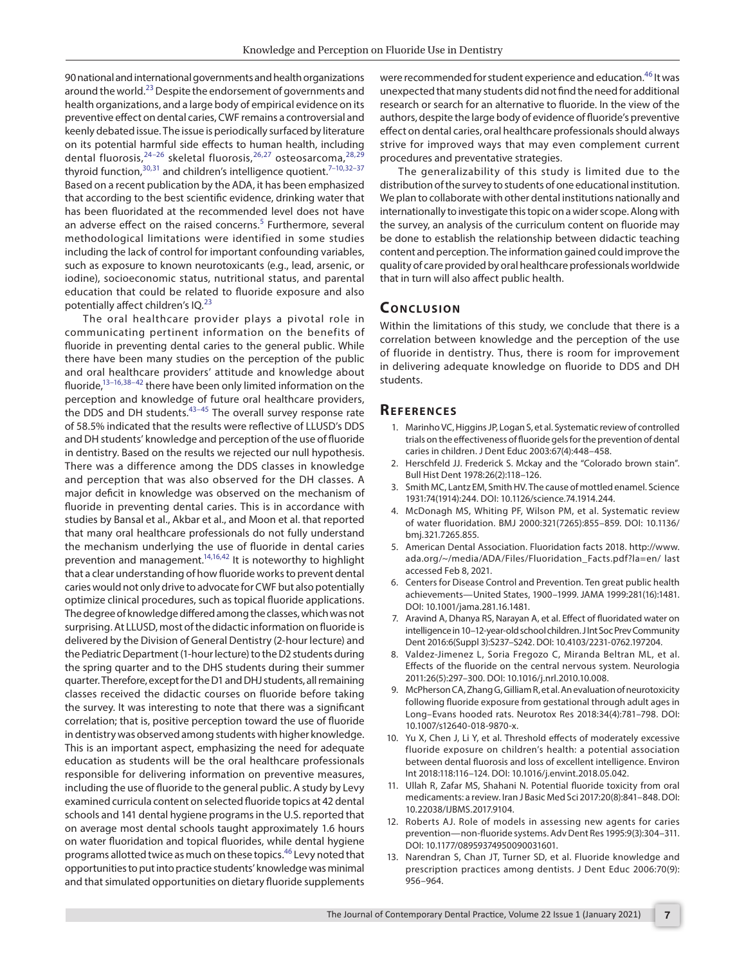90 national and international governments and health organizations around the world.<sup>[23](#page-4-9)</sup> Despite the endorsement of governments and health organizations, and a large body of empirical evidence on its preventive effect on dental caries, CWF remains a controversial and keenly debated issue. The issue is periodically surfaced by literature on its potential harmful side effects to human health, including dental fluorosis, <sup>[24](#page-4-10)-26</sup> skeletal fluorosis, <sup>[26,](#page-4-11)[27](#page-4-12)</sup> osteosarcoma, <sup>[28,](#page-4-13)[29](#page-4-14)</sup> thyroid function,  $30,31$  $30,31$  and children's intelligence quotient.<sup>7-10,32-[37](#page-4-18)</sup> Based on a recent publication by the ADA, it has been emphasized that according to the best scientific evidence, drinking water that has been fluoridated at the recommended level does not have an adverse effect on the raised concerns.<sup>[5](#page-3-4)</sup> Furthermore, several methodological limitations were identified in some studies including the lack of control for important confounding variables, such as exposure to known neurotoxicants (e.g., lead, arsenic, or iodine), socioeconomic status, nutritional status, and parental education that could be related to fluoride exposure and also potentially affect children's  $IQ.<sup>23</sup>$  $IQ.<sup>23</sup>$  $IQ.<sup>23</sup>$ 

The oral healthcare provider plays a pivotal role in communicating pertinent information on the benefits of fluoride in preventing dental caries to the general public. While there have been many studies on the perception of the public and oral healthcare providers' attitude and knowledge about fluoride, $13-16,38-42$  $13-16,38-42$  $13-16,38-42$  there have been only limited information on the perception and knowledge of future oral healthcare providers, the DDS and DH students.<sup>43-45</sup> The overall survey response rate of 58.5% indicated that the results were reflective of LLUSD's DDS and DH students' knowledge and perception of the use of fluoride in dentistry. Based on the results we rejected our null hypothesis. There was a difference among the DDS classes in knowledge and perception that was also observed for the DH classes. A major deficit in knowledge was observed on the mechanism of fluoride in preventing dental caries. This is in accordance with studies by Bansal et al., Akbar et al., and Moon et al. that reported that many oral healthcare professionals do not fully understand the mechanism underlying the use of fluoride in dental caries prevention and management[.14](#page-4-2)[,16,](#page-4-0)[42](#page-4-20) It is noteworthy to highlight that a clear understanding of how fluoride works to prevent dental caries would not only drive to advocate for CWF but also potentially optimize clinical procedures, such as topical fluoride applications. The degree of knowledge differed among the classes, which was not surprising. At LLUSD, most of the didactic information on fluoride is delivered by the Division of General Dentistry (2-hour lecture) and the Pediatric Department (1-hour lecture) to the D2 students during the spring quarter and to the DHS students during their summer quarter. Therefore, except for the D1 and DHJ students, all remaining classes received the didactic courses on fluoride before taking the survey. It was interesting to note that there was a significant correlation; that is, positive perception toward the use of fluoride in dentistry was observed among students with higher knowledge. This is an important aspect, emphasizing the need for adequate education as students will be the oral healthcare professionals responsible for delivering information on preventive measures, including the use of fluoride to the general public. A study by Levy examined curricula content on selected fluoride topics at 42 dental schools and 141 dental hygiene programs in the U.S. reported that on average most dental schools taught approximately 1.6 hours on water fluoridation and topical fluorides, while dental hygiene programs allotted twice as much on these topics.<sup>46</sup> Levy noted that opportunities to put into practice students' knowledge was minimal and that simulated opportunities on dietary fluoride supplements

were recommended for student experience and education.<sup>46</sup> It was unexpected that many students did not find the need for additional research or search for an alternative to fluoride. In the view of the authors, despite the large body of evidence of fluoride's preventive effect on dental caries, oral healthcare professionals should always strive for improved ways that may even complement current procedures and preventative strategies.

The generalizability of this study is limited due to the distribution of the survey to students of one educational institution. We plan to collaborate with other dental institutions nationally and internationally to investigate this topic on a wider scope. Along with the survey, an analysis of the curriculum content on fluoride may be done to establish the relationship between didactic teaching content and perception. The information gained could improve the quality of care provided by oral healthcare professionals worldwide that in turn will also affect public health.

#### **CONCLUSION**

Within the limitations of this study, we conclude that there is a correlation between knowledge and the perception of the use of fluoride in dentistry. Thus, there is room for improvement in delivering adequate knowledge on fluoride to DDS and DH students.

#### **Re f e r e n c e s**

- <span id="page-3-0"></span>1. Marinho VC, Higgins JP, Logan S, et al. Systematic review of controlled trials on the effectiveness of fluoride gels for the prevention of dental caries in children. J Dent Educ 2003:67(4):448–458.
- <span id="page-3-1"></span>2. Herschfeld JJ. Frederick S. Mckay and the "Colorado brown stain". Bull Hist Dent 1978:26(2):118–126.
- <span id="page-3-2"></span>3. Smith MC, Lantz EM, Smith HV. The cause of mottled enamel. Science 1931:74(1914):244. DOI: 10.1126/science.74.1914.244.
- <span id="page-3-3"></span>4. McDonagh MS, Whiting PF, Wilson PM, et al. Systematic review of water fluoridation. BMJ 2000:321(7265):855–859. DOI: 10.1136/ bmj.321.7265.855.
- <span id="page-3-4"></span>5. American Dental Association. Fluoridation facts 2018. [http://www.](http://www.ada.org/~/media/ADA/Files/Fluoridation_Facts.pdf?la=en/) [ada.org/~/media/ADA/Files/Fluoridation\\_Facts.pdf?la=en/](http://www.ada.org/~/media/ADA/Files/Fluoridation_Facts.pdf?la=en/) last accessed Feb 8, 2021.
- <span id="page-3-5"></span>6. Centers for Disease Control and Prevention. Ten great public health achievements—United States, 1900–1999. JAMA 1999:281(16):1481. DOI: 10.1001/jama.281.16.1481.
- <span id="page-3-6"></span>7. Aravind A, Dhanya RS, Narayan A, et al. Effect of fluoridated water on intelligence in 10–12-year-old school children. J Int Soc Prev Community Dent 2016:6(Suppl 3):S237–S242. DOI: 10.4103/2231-0762.197204.
- 8. Valdez-Jimenez L, Soria Fregozo C, Miranda Beltran ML, et al. Effects of the fluoride on the central nervous system. Neurologia 2011:26(5):297–300. DOI: 10.1016/j.nrl.2010.10.008.
- 9. McPherson CA, Zhang G, Gilliam R, et al. An evaluation of neurotoxicity following fluoride exposure from gestational through adult ages in Long–Evans hooded rats. Neurotox Res 2018:34(4):781–798. DOI: 10.1007/s12640-018-9870-x.
- <span id="page-3-7"></span>10. Yu X, Chen J, Li Y, et al. Threshold effects of moderately excessive fluoride exposure on children's health: a potential association between dental fluorosis and loss of excellent intelligence. Environ Int 2018:118:116–124. DOI: 10.1016/j.envint.2018.05.042.
- <span id="page-3-8"></span>11. Ullah R, Zafar MS, Shahani N. Potential fluoride toxicity from oral medicaments: a review. Iran J Basic Med Sci 2017:20(8):841–848. DOI: 10.22038/IJBMS.2017.9104.
- <span id="page-3-9"></span>12. Roberts AJ. Role of models in assessing new agents for caries prevention—non-fluoride systems. Adv Dent Res 1995:9(3):304–311. DOI: 10.1177/08959374950090031601.
- <span id="page-3-10"></span>13. Narendran S, Chan JT, Turner SD, et al. Fluoride knowledge and prescription practices among dentists. J Dent Educ 2006:70(9): 956–964.